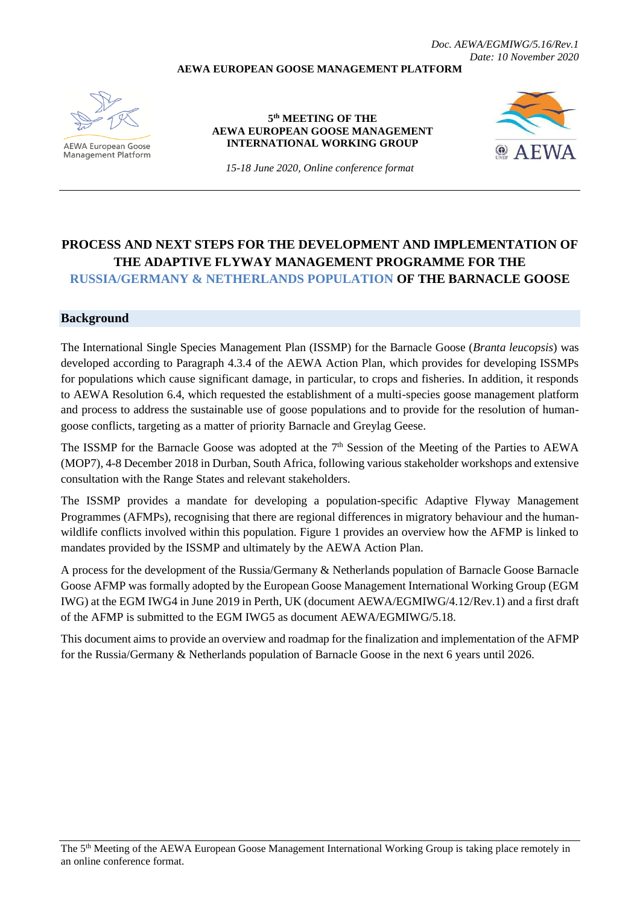*Doc. AEWA/EGMIWG/5.16/Rev.1 Date: 10 November 2020*

#### **AEWA EUROPEAN GOOSE MANAGEMENT PLATFORM**



**AEWA European Goose Management Platform** 

### **5 th MEETING OF THE AEWA EUROPEAN GOOSE MANAGEMENT INTERNATIONAL WORKING GROUP**



*15-18 June 2020, Online conference format*

# **PROCESS AND NEXT STEPS FOR THE DEVELOPMENT AND IMPLEMENTATION OF THE ADAPTIVE FLYWAY MANAGEMENT PROGRAMME FOR THE RUSSIA/GERMANY & NETHERLANDS POPULATION OF THE BARNACLE GOOSE**

### **Background**

The International Single Species Management Plan (ISSMP) for the Barnacle Goose (*Branta leucopsis*) was developed according to Paragraph 4.3.4 of the AEWA Action Plan, which provides for developing ISSMPs for populations which cause significant damage, in particular, to crops and fisheries. In addition, it responds to AEWA Resolution 6.4, which requested the establishment of a multi-species goose management platform and process to address the sustainable use of goose populations and to provide for the resolution of humangoose conflicts, targeting as a matter of priority Barnacle and Greylag Geese.

The ISSMP for the Barnacle Goose was adopted at the 7<sup>th</sup> Session of the Meeting of the Parties to AEWA (MOP7), 4-8 December 2018 in Durban, South Africa, following various stakeholder workshops and extensive consultation with the Range States and relevant stakeholders.

The ISSMP provides a mandate for developing a population-specific Adaptive Flyway Management Programmes (AFMPs), recognising that there are regional differences in migratory behaviour and the humanwildlife conflicts involved within this population. Figure 1 provides an overview how the AFMP is linked to mandates provided by the ISSMP and ultimately by the AEWA Action Plan.

A process for the development of the Russia/Germany & Netherlands population of Barnacle Goose Barnacle Goose AFMP was formally adopted by the European Goose Management International Working Group (EGM IWG) at the EGM IWG4 in June 2019 in Perth, UK (document AEWA/EGMIWG/4.12/Rev.1) and a first draft of the AFMP is submitted to the EGM IWG5 as document AEWA/EGMIWG/5.18.

This document aims to provide an overview and roadmap for the finalization and implementation of the AFMP for the Russia/Germany & Netherlands population of Barnacle Goose in the next 6 years until 2026.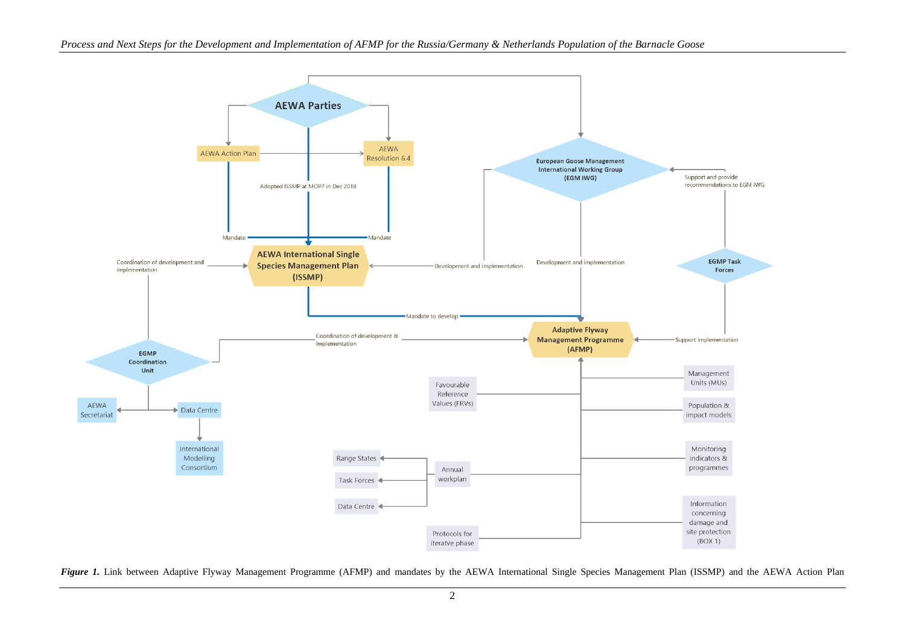

Figure 1. Link between Adaptive Flyway Management Programme (AFMP) and mandates by the AEWA International Single Species Management Plan (ISSMP) and the AEWA Action Plan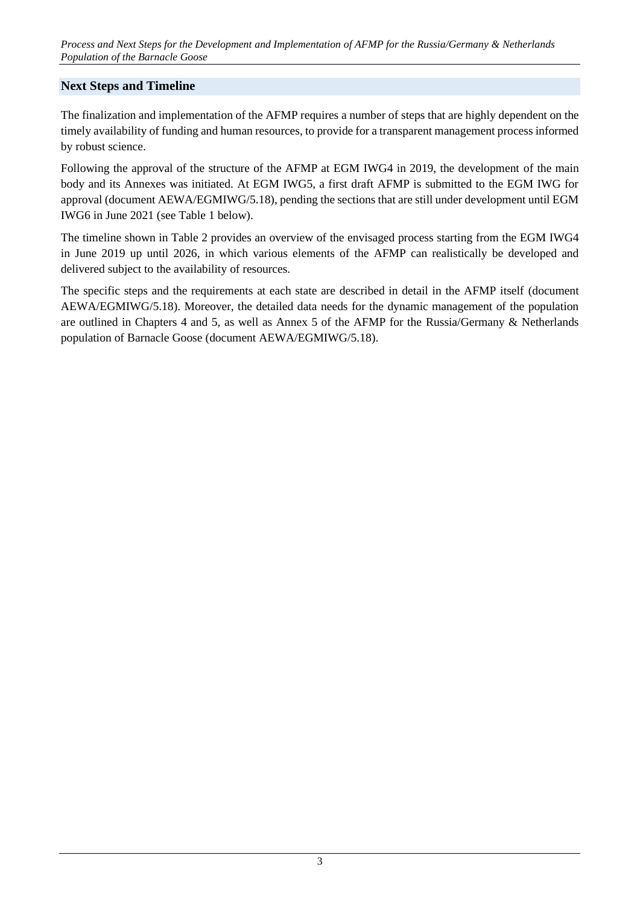## **Next Steps and Timeline**

The finalization and implementation of the AFMP requires a number of steps that are highly dependent on the timely availability of funding and human resources, to provide for a transparent management process informed by robust science.

Following the approval of the structure of the AFMP at EGM IWG4 in 2019, the development of the main body and its Annexes was initiated. At EGM IWG5, a first draft AFMP is submitted to the EGM IWG for approval (document AEWA/EGMIWG/5.18), pending the sections that are still under development until EGM IWG6 in June 2021 (see Table 1 below).

The timeline shown in Table 2 provides an overview of the envisaged process starting from the EGM IWG4 in June 2019 up until 2026, in which various elements of the AFMP can realistically be developed and delivered subject to the availability of resources.

The specific steps and the requirements at each state are described in detail in the AFMP itself (document AEWA/EGMIWG/5.18). Moreover, the detailed data needs for the dynamic management of the population are outlined in Chapters 4 and 5, as well as Annex 5 of the AFMP for the Russia/Germany & Netherlands population of Barnacle Goose (document AEWA/EGMIWG/5.18).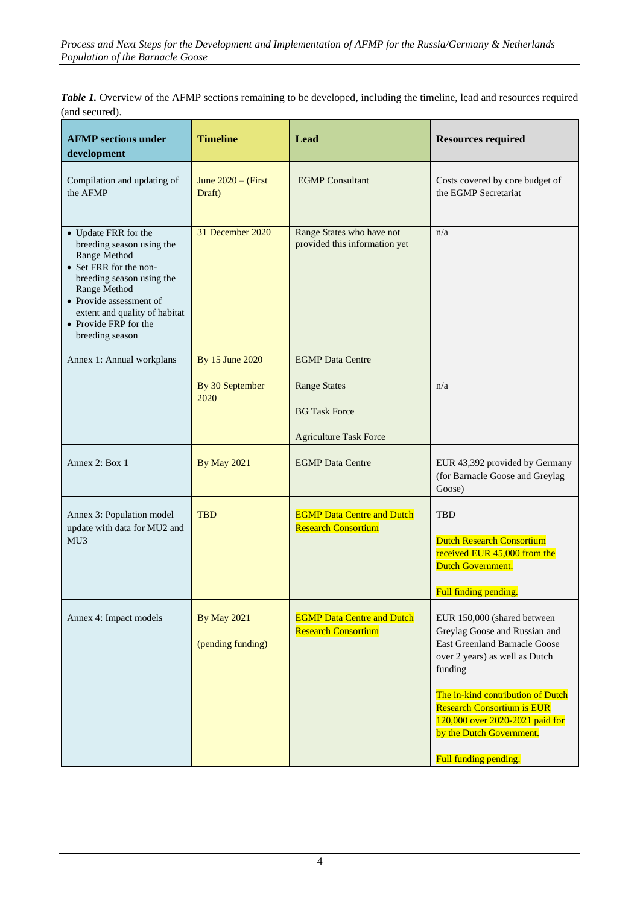| <b>Table 1.</b> Overview of the AFMP sections remaining to be developed, including the timeline, lead and resources required |  |
|------------------------------------------------------------------------------------------------------------------------------|--|
| (and secured).                                                                                                               |  |

| <b>Timeline</b>                         | Lead                                                            | <b>Resources required</b>                                                                                                                                                                                                                                                                                           |
|-----------------------------------------|-----------------------------------------------------------------|---------------------------------------------------------------------------------------------------------------------------------------------------------------------------------------------------------------------------------------------------------------------------------------------------------------------|
| June $2020 -$ (First<br>Draft)          | <b>EGMP</b> Consultant                                          | Costs covered by core budget of<br>the EGMP Secretariat                                                                                                                                                                                                                                                             |
| 31 December 2020                        | Range States who have not<br>provided this information yet      | n/a                                                                                                                                                                                                                                                                                                                 |
| By 15 June 2020                         | <b>EGMP</b> Data Centre                                         |                                                                                                                                                                                                                                                                                                                     |
| By 30 September                         | <b>Range States</b>                                             | n/a                                                                                                                                                                                                                                                                                                                 |
|                                         | <b>BG Task Force</b>                                            |                                                                                                                                                                                                                                                                                                                     |
|                                         | <b>Agriculture Task Force</b>                                   |                                                                                                                                                                                                                                                                                                                     |
| <b>By May 2021</b>                      | <b>EGMP</b> Data Centre                                         | EUR 43,392 provided by Germany<br>(for Barnacle Goose and Greylag<br>Goose)                                                                                                                                                                                                                                         |
| <b>TBD</b>                              | <b>EGMP Data Centre and Dutch</b><br><b>Research Consortium</b> | <b>TBD</b><br><b>Dutch Research Consortium</b><br>received EUR 45,000 from the<br>Dutch Government.<br>Full finding pending.                                                                                                                                                                                        |
| <b>By May 2021</b><br>(pending funding) | <b>EGMP Data Centre and Dutch</b><br><b>Research Consortium</b> | EUR 150,000 (shared between<br>Greylag Goose and Russian and<br><b>East Greenland Barnacle Goose</b><br>over 2 years) as well as Dutch<br>funding<br>The in-kind contribution of Dutch<br><b>Research Consortium is EUR</b><br>120,000 over 2020-2021 paid for<br>by the Dutch Government.<br>Full funding pending. |
|                                         | 2020                                                            |                                                                                                                                                                                                                                                                                                                     |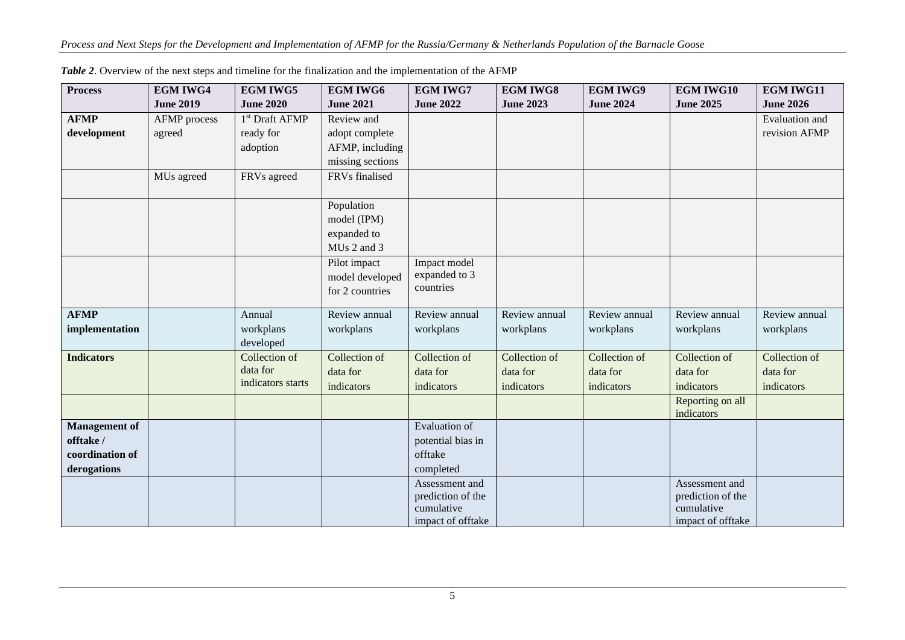| <b>Process</b>       | <b>EGM IWG4</b>     | <b>EGM IWG5</b>            | <b>EGM IWG6</b>  | <b>EGM IWG7</b>                     | <b>EGM IWG8</b>  | <b>EGM IWG9</b>  | <b>EGM IWG10</b>                    | <b>EGM IWG11</b> |
|----------------------|---------------------|----------------------------|------------------|-------------------------------------|------------------|------------------|-------------------------------------|------------------|
|                      | <b>June 2019</b>    | <b>June 2020</b>           | <b>June 2021</b> | <b>June 2022</b>                    | <b>June 2023</b> | <b>June 2024</b> | <b>June 2025</b>                    | <b>June 2026</b> |
| <b>AFMP</b>          | <b>AFMP</b> process | 1 <sup>st</sup> Draft AFMP | Review and       |                                     |                  |                  |                                     | Evaluation and   |
| development          | agreed              | ready for                  | adopt complete   |                                     |                  |                  |                                     | revision AFMP    |
|                      |                     | adoption                   | AFMP, including  |                                     |                  |                  |                                     |                  |
|                      |                     |                            | missing sections |                                     |                  |                  |                                     |                  |
|                      | MUs agreed          | FRVs agreed                | FRVs finalised   |                                     |                  |                  |                                     |                  |
|                      |                     |                            |                  |                                     |                  |                  |                                     |                  |
|                      |                     |                            | Population       |                                     |                  |                  |                                     |                  |
|                      |                     |                            | model (IPM)      |                                     |                  |                  |                                     |                  |
|                      |                     |                            | expanded to      |                                     |                  |                  |                                     |                  |
|                      |                     |                            | MUs 2 and 3      |                                     |                  |                  |                                     |                  |
|                      |                     |                            | Pilot impact     | Impact model                        |                  |                  |                                     |                  |
|                      |                     |                            | model developed  | expanded to 3<br>countries          |                  |                  |                                     |                  |
|                      |                     |                            | for 2 countries  |                                     |                  |                  |                                     |                  |
| <b>AFMP</b>          |                     | Annual                     | Review annual    | Review annual                       | Review annual    | Review annual    | Review annual                       | Review annual    |
| implementation       |                     | workplans                  | workplans        | workplans                           | workplans        | workplans        | workplans                           | workplans        |
|                      |                     | developed                  |                  |                                     |                  |                  |                                     |                  |
| <b>Indicators</b>    |                     | Collection of              | Collection of    | Collection of                       | Collection of    | Collection of    | Collection of                       | Collection of    |
|                      |                     | data for                   | data for         | data for                            | data for         | data for         | data for                            | data for         |
|                      |                     | indicators starts          | indicators       | indicators                          | indicators       | indicators       | indicators                          | indicators       |
|                      |                     |                            |                  |                                     |                  |                  | Reporting on all                    |                  |
|                      |                     |                            |                  |                                     |                  |                  | indicators                          |                  |
| <b>Management</b> of |                     |                            |                  | Evaluation of                       |                  |                  |                                     |                  |
| offtake /            |                     |                            |                  | potential bias in                   |                  |                  |                                     |                  |
| coordination of      |                     |                            |                  | offtake                             |                  |                  |                                     |                  |
| derogations          |                     |                            |                  | completed                           |                  |                  |                                     |                  |
|                      |                     |                            |                  | Assessment and<br>prediction of the |                  |                  | Assessment and<br>prediction of the |                  |
|                      |                     |                            |                  | cumulative                          |                  |                  | cumulative                          |                  |
|                      |                     |                            |                  | impact of offtake                   |                  |                  | impact of offtake                   |                  |

*Table 2*. Overview of the next steps and timeline for the finalization and the implementation of the AFMP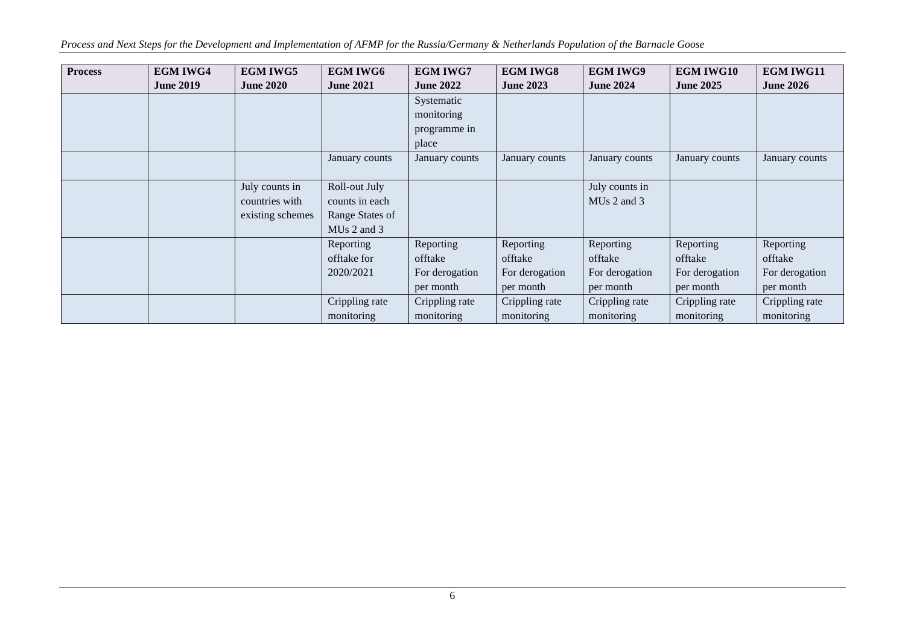*Process and Next Steps for the Development and Implementation of AFMP for the Russia/Germany & Netherlands Population of the Barnacle Goose*

| <b>Process</b> | <b>EGM IWG4</b>  | <b>EGM IWG5</b>  | <b>EGM IWG6</b>         | <b>EGM IWG7</b>  | <b>EGM IWG8</b>  | <b>EGM IWG9</b>         | <b>EGM IWG10</b> | <b>EGM IWG11</b> |
|----------------|------------------|------------------|-------------------------|------------------|------------------|-------------------------|------------------|------------------|
|                | <b>June 2019</b> | <b>June 2020</b> | <b>June 2021</b>        | <b>June 2022</b> | <b>June 2023</b> | <b>June 2024</b>        | <b>June 2025</b> | <b>June 2026</b> |
|                |                  |                  |                         | Systematic       |                  |                         |                  |                  |
|                |                  |                  |                         | monitoring       |                  |                         |                  |                  |
|                |                  |                  |                         | programme in     |                  |                         |                  |                  |
|                |                  |                  |                         | place            |                  |                         |                  |                  |
|                |                  |                  | January counts          | January counts   | January counts   | January counts          | January counts   | January counts   |
|                |                  |                  |                         |                  |                  |                         |                  |                  |
|                |                  | July counts in   | Roll-out July           |                  |                  | July counts in          |                  |                  |
|                |                  | countries with   | counts in each          |                  |                  | MU <sub>s</sub> 2 and 3 |                  |                  |
|                |                  | existing schemes | Range States of         |                  |                  |                         |                  |                  |
|                |                  |                  | MU <sub>s</sub> 2 and 3 |                  |                  |                         |                  |                  |
|                |                  |                  | Reporting               | Reporting        | Reporting        | Reporting               | Reporting        | Reporting        |
|                |                  |                  | offtake for             | offtake          | offtake          | offtake                 | offtake          | offtake          |
|                |                  |                  | 2020/2021               | For derogation   | For derogation   | For derogation          | For derogation   | For derogation   |
|                |                  |                  |                         | per month        | per month        | per month               | per month        | per month        |
|                |                  |                  | Crippling rate          | Crippling rate   | Crippling rate   | Crippling rate          | Crippling rate   | Crippling rate   |
|                |                  |                  | monitoring              | monitoring       | monitoring       | monitoring              | monitoring       | monitoring       |